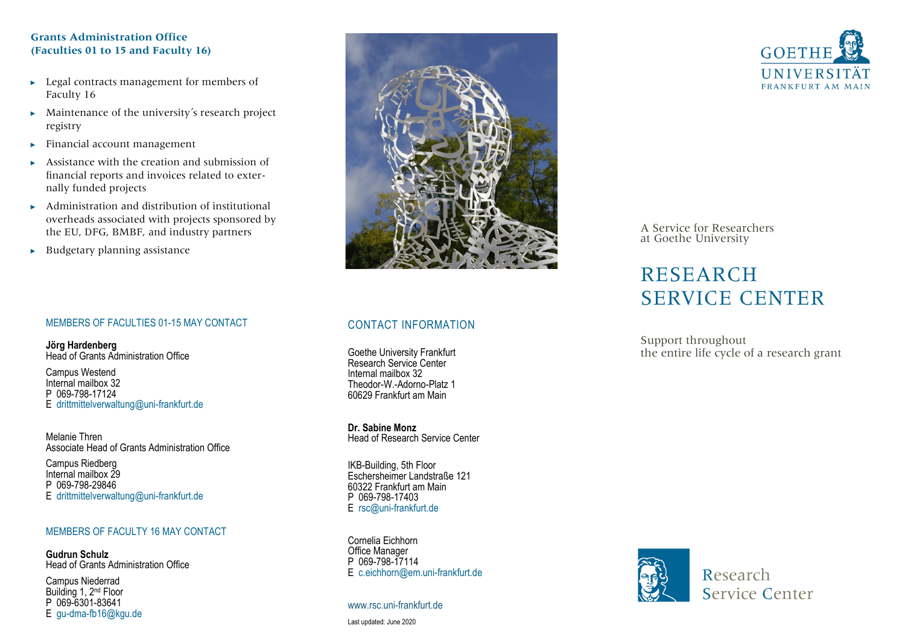## **Grants Administration Office (Faculties 01 to 15 and Faculty 16)**

- ► Legal contracts management for members of Faculty 16
- ► Maintenance of the university´s research project registry
- ► Financial account management
- ► Assistance with the creation and submission of financial reports and invoices related to externally funded projects
- ► Administration and distribution of institutional overheads associated with projects sponsored by the EU, DFG, BMBF, and industry partners
- $\blacktriangleright$  Budgetary planning assistance

# MEMBERS OF FACULTIES 01 -15 MAY CONTACT

**Jörg Hardenberg** Head of Grants Administration Office

Campus Westend Internal mailbox 32 P 069-798-17124 E drittmittelverwaltung@uni -frankfurt.de

Melanie Thren Associate Head of Grants Administration Office

Campus Riedberg<br>Internal mailhox 29 P 069-798-29846 E drittmittelverwaltung@uni -frankfurt.de

## MEMBERS OF FACULTY 16 MAY CONTACT

**Gudrun Schulz** Head of Grants Administration Office

Campus Niederrad Building 1, 2nd Floor P 069-6301-83641 E gu -dma -fb16@kgu.de



# CONTACT INFORMATION

Goethe University Frankfurt Research Service Center Internal mailbox 32 Theodor-W.-Adorno-Platz 1 60629 Frankfurt am Main

**Dr. Sabine Monz** Head of Research Service Center

IKB -Building, 5th Floor Eschersheimer Landstraße 121 60322 Frankfurt am Main E rsc@uni-frankfurt.de

Cornelia Eichhorn Office Manager P 069-798-17114 E c.eichhorn@em.uni -frankfurt.de

www.rsc.uni -frankfurt.de



A Service for Researchers at Goethe University

# RESEARCH SERVICE CENTER

Support throughout the entire life cycle of a research grant